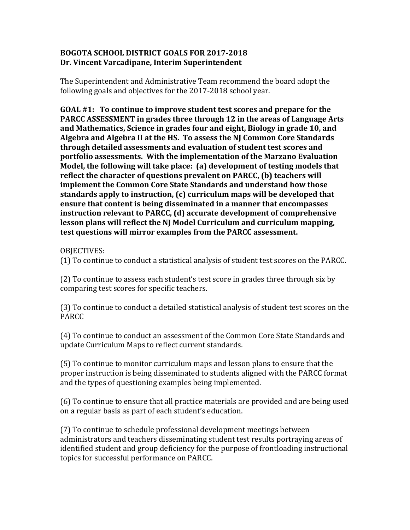## **BOGOTA SCHOOL DISTRICT GOALS FOR 2017-2018 Dr. Vincent Varcadipane, Interim Superintendent**

The Superintendent and Administrative Team recommend the board adopt the following goals and objectives for the 2017-2018 school year.

**GOAL** #1: To continue to improve student test scores and prepare for the **PARCC ASSESSMENT** in grades three through 12 in the areas of Language Arts and Mathematics, Science in grades four and eight, Biology in grade 10, and Algebra and Algebra II at the HS. To assess the NJ Common Core Standards through detailed assessments and evaluation of student test scores and **portfolio assessments. With the implementation of the Marzano Evaluation Model, the following will take place: (a) development of testing models that** reflect the character of questions prevalent on PARCC, (b) teachers will **implement the Common Core State Standards and understand how those** standards apply to instruction, (c) curriculum maps will be developed that **ensure that content is being disseminated in a manner that encompasses instruction relevant to PARCC, (d) accurate development of comprehensive** lesson plans will reflect the NJ Model Curriculum and curriculum mapping, test questions will mirror examples from the PARCC assessment.

OBJECTIVES: 

(1) To continue to conduct a statistical analysis of student test scores on the PARCC.

(2) To continue to assess each student's test score in grades three through six by comparing test scores for specific teachers.

(3) To continue to conduct a detailed statistical analysis of student test scores on the PARCC

(4) To continue to conduct an assessment of the Common Core State Standards and update Curriculum Maps to reflect current standards.

(5) To continue to monitor curriculum maps and lesson plans to ensure that the proper instruction is being disseminated to students aligned with the PARCC format and the types of questioning examples being implemented.

(6) To continue to ensure that all practice materials are provided and are being used on a regular basis as part of each student's education.

(7) To continue to schedule professional development meetings between administrators and teachers disseminating student test results portraying areas of identified student and group deficiency for the purpose of frontloading instructional topics for successful performance on PARCC.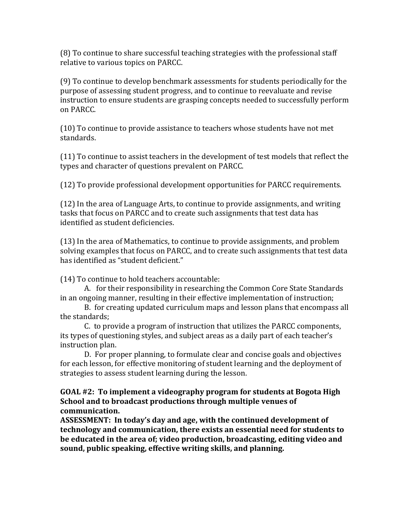(8) To continue to share successful teaching strategies with the professional staff relative to various topics on PARCC.

(9) To continue to develop benchmark assessments for students periodically for the purpose of assessing student progress, and to continue to reevaluate and revise instruction to ensure students are grasping concepts needed to successfully perform on PARCC.

(10) To continue to provide assistance to teachers whose students have not met standards.

(11) To continue to assist teachers in the development of test models that reflect the types and character of questions prevalent on PARCC.

(12) To provide professional development opportunities for PARCC requirements.

(12) In the area of Language Arts, to continue to provide assignments, and writing tasks that focus on PARCC and to create such assignments that test data has identified as student deficiencies.

(13) In the area of Mathematics, to continue to provide assignments, and problem solving examples that focus on PARCC, and to create such assignments that test data has identified as "student deficient."

(14) To continue to hold teachers accountable:

A. for their responsibility in researching the Common Core State Standards in an ongoing manner, resulting in their effective implementation of instruction;

B. for creating updated curriculum maps and lesson plans that encompass all the standards:

C. to provide a program of instruction that utilizes the PARCC components, its types of questioning styles, and subject areas as a daily part of each teacher's instruction plan.

D. For proper planning, to formulate clear and concise goals and objectives for each lesson, for effective monitoring of student learning and the deployment of strategies to assess student learning during the lesson.

**GOAL** #2: To implement a videography program for students at Bogota High **School** and to broadcast productions through multiple venues of **communication.**

**ASSESSMENT:** In today's day and age, with the continued development of **technology** and communication, there exists an essential need for students to be educated in the area of; video production, broadcasting, editing video and sound, public speaking, effective writing skills, and planning.